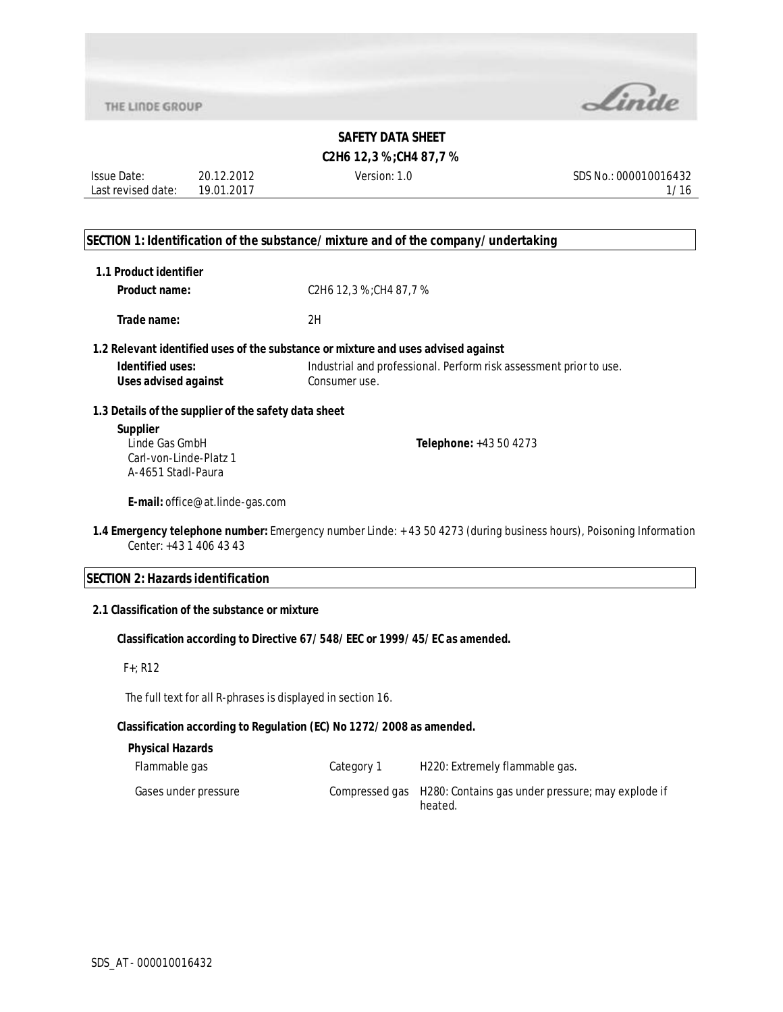

## **C2H6 12,3 %;CH4 87,7 %**

Issue Date: Last revised date: 20.12.2012 19.01.2017

Version: 1.0 SDS No.: 000010016432 1/16

### **SECTION 1: Identification of the substance/mixture and of the company/undertaking**

| 1.1 Product identifier |  |
|------------------------|--|
|------------------------|--|

| <b>Product name:</b> | C2H6 12,3 %;CH4 87,7 % |
|----------------------|------------------------|
|                      |                        |

**Trade name:** 2H

#### **1.2 Relevant identified uses of the substance or mixture and uses advised against**

| <b>Identified uses:</b> | Industrial and professional. Perform risk assessment prior to use. |
|-------------------------|--------------------------------------------------------------------|
| Uses advised against    | Consumer use.                                                      |

### **1.3 Details of the supplier of the safety data sheet**

## **Supplier** Linde Gas GmbH Carl-von-Linde-Platz 1 A-4651 Stadl-Paura

**Telephone:** +43 50 4273

**E-mail:** office@at.linde-gas.com

**1.4 Emergency telephone number:** Emergency number Linde: + 43 50 4273 (during business hours), Poisoning Information Center: +43 1 406 43 43

## **SECTION 2: Hazards identification**

### **2.1 Classification of the substance or mixture**

## **Classification according to Directive 67/548/EEC or 1999/45/EC as amended.**

## F+; R12

The full text for all R-phrases is displayed in section 16.

### **Classification according to Regulation (EC) No 1272/2008 as amended.**

## **Physical Hazards**

| Flammable gas        | Category 1 | H220: Extremely flammable gas.                                              |
|----------------------|------------|-----------------------------------------------------------------------------|
| Gases under pressure |            | Compressed gas H280: Contains gas under pressure; may explode if<br>heated. |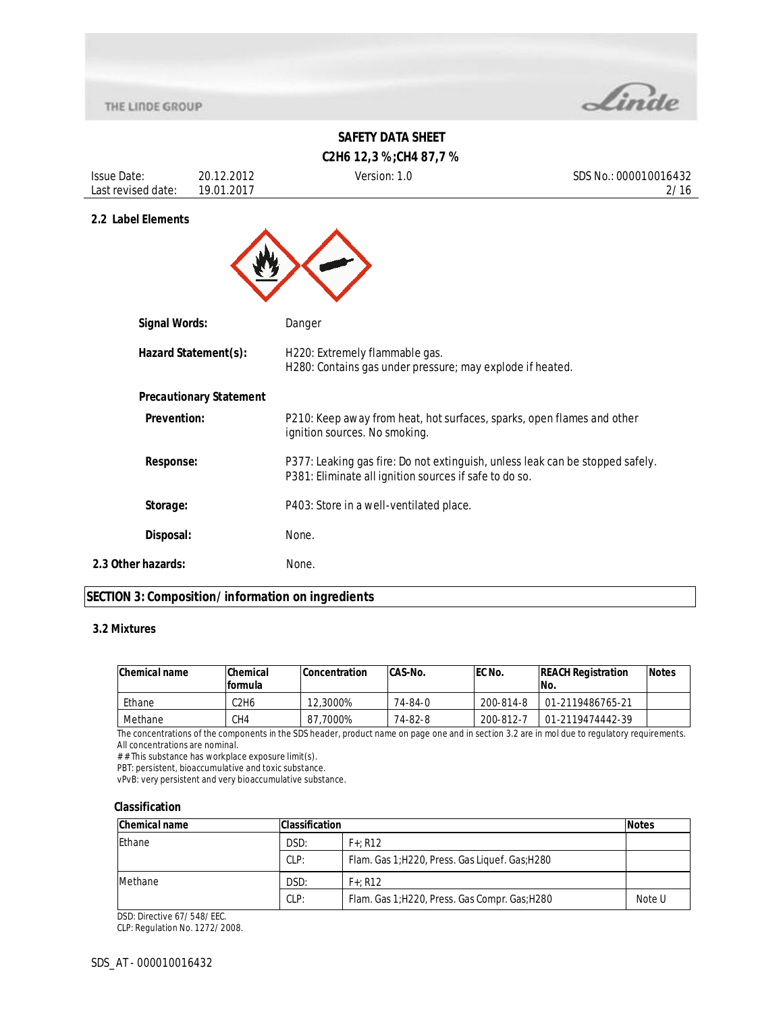

# **SAFETY DATA SHEET C2H6 12,3 %;CH4 87,7 %**

| <b>Issue Date:</b><br>Last revised date: | 20.12.2012<br>19.01.2017       | Version: 1.0                                                                                                                            | SDS No.: 000010016432<br>2/16 |
|------------------------------------------|--------------------------------|-----------------------------------------------------------------------------------------------------------------------------------------|-------------------------------|
| 2.2 Label Elements                       |                                |                                                                                                                                         |                               |
|                                          |                                |                                                                                                                                         |                               |
|                                          |                                |                                                                                                                                         |                               |
| <b>Signal Words:</b>                     |                                | Danger                                                                                                                                  |                               |
| Hazard Statement(s):                     |                                | H220: Extremely flammable gas.<br>H280: Contains gas under pressure; may explode if heated.                                             |                               |
|                                          | <b>Precautionary Statement</b> |                                                                                                                                         |                               |
| <b>Prevention:</b>                       |                                | P210: Keep away from heat, hot surfaces, sparks, open flames and other<br>ignition sources. No smoking.                                 |                               |
| <b>Response:</b>                         |                                | P377: Leaking gas fire: Do not extinguish, unless leak can be stopped safely.<br>P381: Eliminate all ignition sources if safe to do so. |                               |
| Storage:                                 |                                | P403: Store in a well-ventilated place.                                                                                                 |                               |
| Disposal:                                |                                | None.                                                                                                                                   |                               |
| 2.3 Other hazards:                       |                                | None.                                                                                                                                   |                               |

## **SECTION 3: Composition/information on ingredients**

## **3.2 Mixtures**

| Chemical name | Chemical | <b>Concentration</b> | CAS-No. | <b>IEC No.</b> | <b>REACH Registration</b> | <b>Notes</b> |
|---------------|----------|----------------------|---------|----------------|---------------------------|--------------|
|               | formula  |                      |         |                | INo.                      |              |
| Ethane        | 2H6      | 12,3000%             | 74-84-0 | 200-814-8      | 01-2119486765-21          |              |
| Methane       | CH4      | 87.7000%             | 74-82-8 | 200-812-7      | 01-2119474442-39          |              |

The concentrations of the components in the SDS header, product name on page one and in section 3.2 are in mol due to regulatory requirements. All concentrations are nominal.

# # This substance has workplace exposure limit(s).

PBT: persistent, bioaccumulative and toxic substance.

vPvB: very persistent and very bioaccumulative substance.

### **Classification**

| <b>Chemical name</b> | <b>Classification</b> |                                                 | <b>Notes</b> |
|----------------------|-----------------------|-------------------------------------------------|--------------|
| <b>Ethane</b>        | DSD:                  | $F+: R12$                                       |              |
|                      | CLP:                  | Flam. Gas 1; H220, Press. Gas Liquef. Gas; H280 |              |
| Methane              | DSD:<br>$F+: R12$     |                                                 |              |
|                      | CLP:                  | Flam. Gas 1; H220, Press. Gas Compr. Gas; H280  | Note U       |

DSD: Directive 67/548/EEC.

CLP: Regulation No. 1272/2008.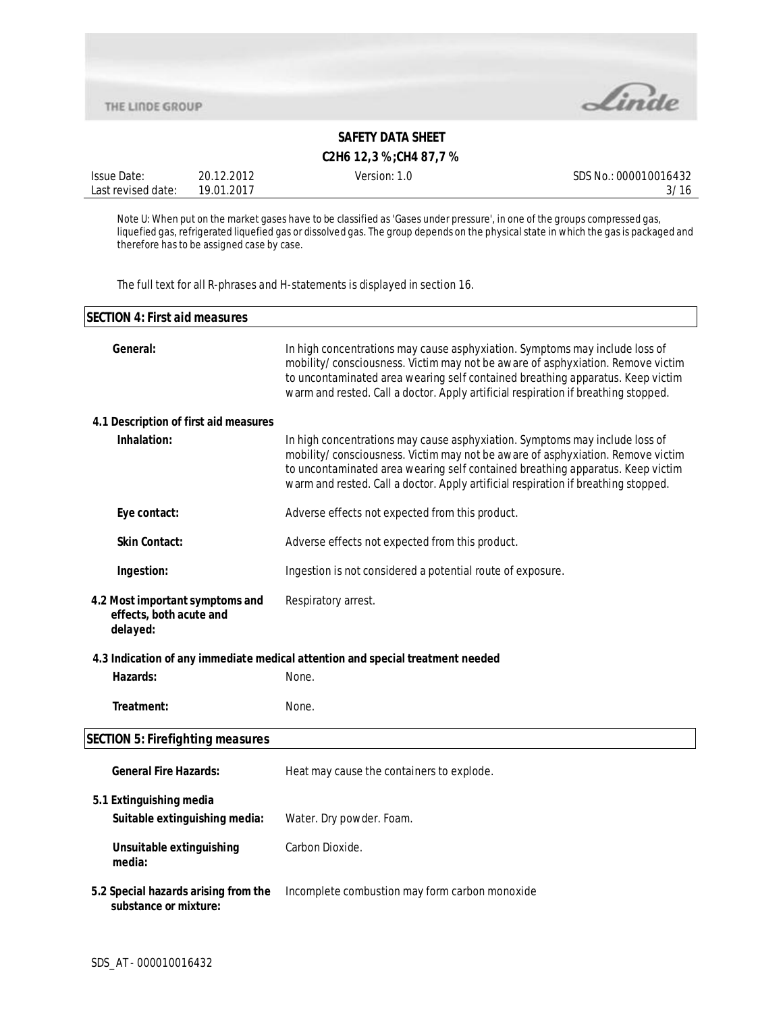

## **C2H6 12,3 %;CH4 87,7 %**

| Issue Date:        | 20.12.2012 | Version: 1.0 | SDS No.: 000010016432 |
|--------------------|------------|--------------|-----------------------|
| Last revised date: | 19.01.2017 |              |                       |

Note U: When put on the market gases have to be classified as 'Gases under pressure', in one of the groups compressed gas, liquefied gas, refrigerated liquefied gas or dissolved gas. The group depends on the physical state in which the gas is packaged and therefore has to be assigned case by case.

The full text for all R-phrases and H-statements is displayed in section 16.

| <b>SECTION 4: First aid measures</b>                                   |                                                                                                                                                                                                                                                                                                                                       |  |
|------------------------------------------------------------------------|---------------------------------------------------------------------------------------------------------------------------------------------------------------------------------------------------------------------------------------------------------------------------------------------------------------------------------------|--|
| General:                                                               | In high concentrations may cause asphyxiation. Symptoms may include loss of<br>mobility/consciousness. Victim may not be aware of asphyxiation. Remove victim<br>to uncontaminated area wearing self contained breathing apparatus. Keep victim<br>warm and rested. Call a doctor. Apply artificial respiration if breathing stopped. |  |
| 4.1 Description of first aid measures                                  |                                                                                                                                                                                                                                                                                                                                       |  |
| Inhalation:                                                            | In high concentrations may cause asphyxiation. Symptoms may include loss of<br>mobility/consciousness. Victim may not be aware of asphyxiation. Remove victim<br>to uncontaminated area wearing self contained breathing apparatus. Keep victim<br>warm and rested. Call a doctor. Apply artificial respiration if breathing stopped. |  |
| Eye contact:                                                           | Adverse effects not expected from this product.                                                                                                                                                                                                                                                                                       |  |
| <b>Skin Contact:</b>                                                   | Adverse effects not expected from this product.                                                                                                                                                                                                                                                                                       |  |
| Ingestion:                                                             | Ingestion is not considered a potential route of exposure.                                                                                                                                                                                                                                                                            |  |
| 4.2 Most important symptoms and<br>effects, both acute and<br>delayed: | Respiratory arrest.                                                                                                                                                                                                                                                                                                                   |  |
|                                                                        | 4.3 Indication of any immediate medical attention and special treatment needed                                                                                                                                                                                                                                                        |  |
| Hazards:                                                               | None.                                                                                                                                                                                                                                                                                                                                 |  |
| Treatment:                                                             | None.                                                                                                                                                                                                                                                                                                                                 |  |
| <b>SECTION 5: Firefighting measures</b>                                |                                                                                                                                                                                                                                                                                                                                       |  |
| <b>General Fire Hazards:</b>                                           | Heat may cause the containers to explode.                                                                                                                                                                                                                                                                                             |  |
| 5.1 Extinguishing media<br>Suitable extinguishing media:               | Water. Dry powder. Foam.                                                                                                                                                                                                                                                                                                              |  |
| Unsuitable extinguishing<br>media:                                     | Carbon Dioxide.                                                                                                                                                                                                                                                                                                                       |  |
| 5.2 Special hazards arising from the<br>substance or mixture:          | Incomplete combustion may form carbon monoxide                                                                                                                                                                                                                                                                                        |  |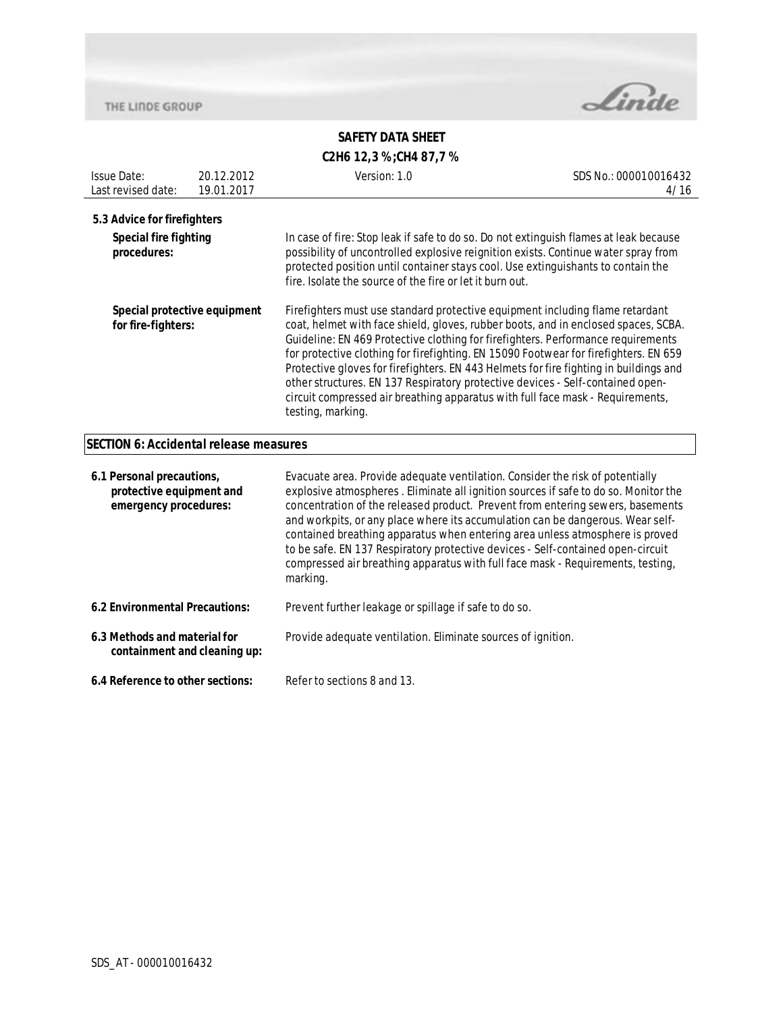

# **SAFETY DATA SHEET C2H6 12,3 %;CH4 87,7 %**

| <b>Issue Date:</b><br>Last revised date:                                                                                     | 20.12.2012<br>19.01.2017 | Version: 1.0                                                                                                                                                                                                                                                                                                                                                                                                                                                                                                                                                                                                                                                                                  | SDS No.: 000010016432<br>4/16 |
|------------------------------------------------------------------------------------------------------------------------------|--------------------------|-----------------------------------------------------------------------------------------------------------------------------------------------------------------------------------------------------------------------------------------------------------------------------------------------------------------------------------------------------------------------------------------------------------------------------------------------------------------------------------------------------------------------------------------------------------------------------------------------------------------------------------------------------------------------------------------------|-------------------------------|
| 5.3 Advice for firefighters<br><b>Special fire fighting</b><br>procedures:                                                   |                          | In case of fire: Stop leak if safe to do so. Do not extinguish flames at leak because<br>possibility of uncontrolled explosive reignition exists. Continue water spray from<br>protected position until container stays cool. Use extinguishants to contain the                                                                                                                                                                                                                                                                                                                                                                                                                               |                               |
| Special protective equipment<br>for fire-fighters:                                                                           |                          | fire. Isolate the source of the fire or let it burn out.<br>Firefighters must use standard protective equipment including flame retardant<br>coat, helmet with face shield, gloves, rubber boots, and in enclosed spaces, SCBA.<br>Guideline: EN 469 Protective clothing for firefighters. Performance requirements<br>for protective clothing for firefighting. EN 15090 Footwear for firefighters. EN 659<br>Protective gloves for firefighters. EN 443 Helmets for fire fighting in buildings and<br>other structures. EN 137 Respiratory protective devices - Self-contained open-<br>circuit compressed air breathing apparatus with full face mask - Requirements,<br>testing, marking. |                               |
| <b>SECTION 6: Accidental release measures</b>                                                                                |                          |                                                                                                                                                                                                                                                                                                                                                                                                                                                                                                                                                                                                                                                                                               |                               |
| 6.1 Personal precautions,<br>protective equipment and<br>emergency procedures:                                               |                          | Evacuate area. Provide adequate ventilation. Consider the risk of potentially<br>explosive atmospheres . Eliminate all ignition sources if safe to do so. Monitor the<br>concentration of the released product. Prevent from entering sewers, basements<br>and workpits, or any place where its accumulation can be dangerous. Wear self-<br>contained breathing apparatus when entering area unless atmosphere is proved<br>to be safe. EN 137 Respiratory protective devices - Self-contained open-circuit<br>compressed air breathing apparatus with full face mask - Requirements, testing,<br>marking.                                                                                   |                               |
| 6.2 Environmental Precautions:                                                                                               |                          | Prevent further leakage or spillage if safe to do so.                                                                                                                                                                                                                                                                                                                                                                                                                                                                                                                                                                                                                                         |                               |
| 6.3 Methods and material for<br>Provide adequate ventilation. Eliminate sources of ignition.<br>containment and cleaning up: |                          |                                                                                                                                                                                                                                                                                                                                                                                                                                                                                                                                                                                                                                                                                               |                               |
| 6.4 Reference to other sections:                                                                                             |                          | Refer to sections 8 and 13.                                                                                                                                                                                                                                                                                                                                                                                                                                                                                                                                                                                                                                                                   |                               |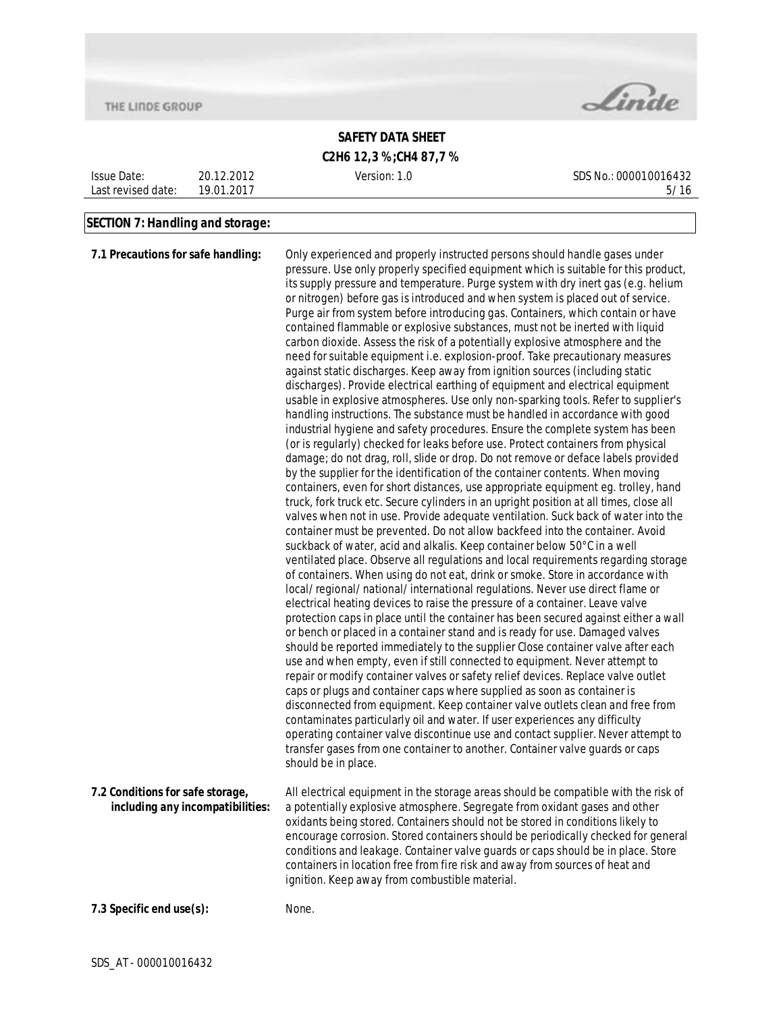

# **SAFETY DATA SHEET C2H6 12,3 %;CH4 87,7 %**

Issue Date: Last revised date: 20.12.2012 19.01.2017

Version: 1.0 SDS No.: 000010016432 5/16

### **SECTION 7: Handling and storage:**

**7.1 Precautions for safe handling:** Only experienced and properly instructed persons should handle gases under pressure. Use only properly specified equipment which is suitable for this product, its supply pressure and temperature. Purge system with dry inert gas (e.g. helium or nitrogen) before gas is introduced and when system is placed out of service. Purge air from system before introducing gas. Containers, which contain or have contained flammable or explosive substances, must not be inerted with liquid carbon dioxide. Assess the risk of a potentially explosive atmosphere and the need for suitable equipment i.e. explosion-proof. Take precautionary measures against static discharges. Keep away from ignition sources (including static discharges). Provide electrical earthing of equipment and electrical equipment usable in explosive atmospheres. Use only non-sparking tools. Refer to supplier's handling instructions. The substance must be handled in accordance with good industrial hygiene and safety procedures. Ensure the complete system has been (or is regularly) checked for leaks before use. Protect containers from physical damage; do not drag, roll, slide or drop. Do not remove or deface labels provided by the supplier for the identification of the container contents. When moving containers, even for short distances, use appropriate equipment eg. trolley, hand truck, fork truck etc. Secure cylinders in an upright position at all times, close all valves when not in use. Provide adequate ventilation. Suck back of water into the container must be prevented. Do not allow backfeed into the container. Avoid suckback of water, acid and alkalis. Keep container below 50°C in a well ventilated place. Observe all regulations and local requirements regarding storage of containers. When using do not eat, drink or smoke. Store in accordance with local/regional/national/international regulations. Never use direct flame or electrical heating devices to raise the pressure of a container. Leave valve protection caps in place until the container has been secured against either a wall or bench or placed in a container stand and is ready for use. Damaged valves should be reported immediately to the supplier Close container valve after each use and when empty, even if still connected to equipment. Never attempt to repair or modify container valves or safety relief devices. Replace valve outlet caps or plugs and container caps where supplied as soon as container is disconnected from equipment. Keep container valve outlets clean and free from contaminates particularly oil and water. If user experiences any difficulty operating container valve discontinue use and contact supplier. Never attempt to transfer gases from one container to another. Container valve guards or caps should be in place. **7.2 Conditions for safe storage, including any incompatibilities:** All electrical equipment in the storage areas should be compatible with the risk of a potentially explosive atmosphere. Segregate from oxidant gases and other oxidants being stored. Containers should not be stored in conditions likely to encourage corrosion. Stored containers should be periodically checked for general conditions and leakage. Container valve guards or caps should be in place. Store containers in location free from fire risk and away from sources of heat and ignition. Keep away from combustible material. **7.3 Specific end use(s):** None.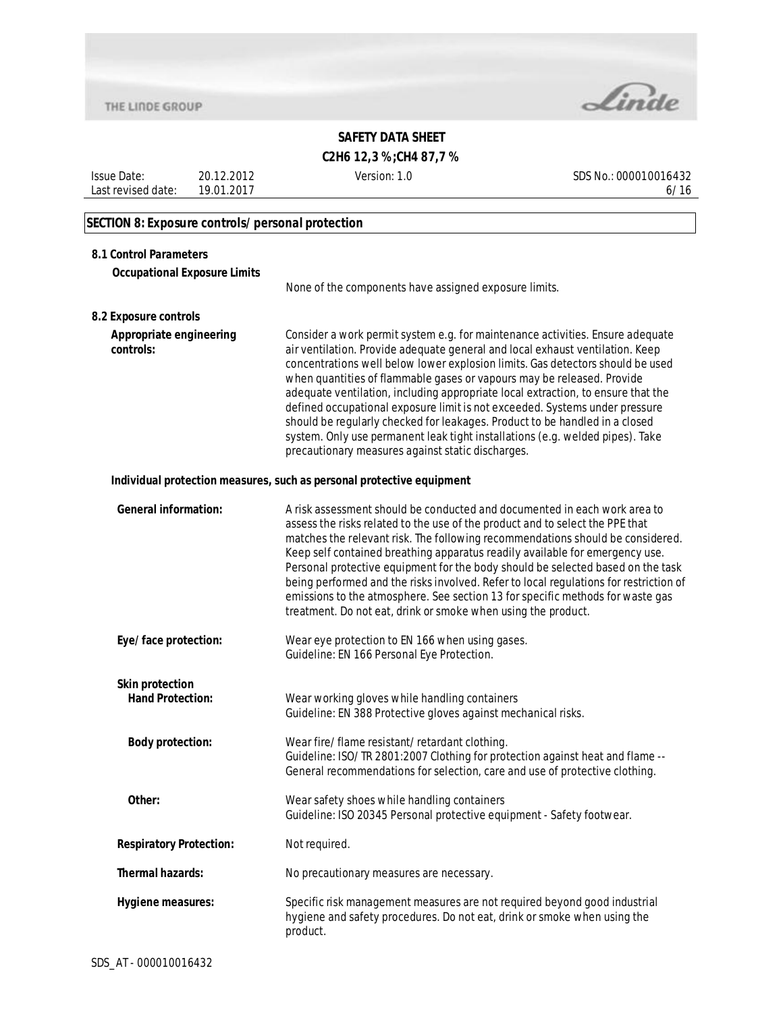

**C2H6 12,3 %;CH4 87,7 %**

Issue Date: Last revised date: 19.01.2017 20.12.2012

Version: 1.0 SDS No.: 000010016432 6/16

# **SECTION 8: Exposure controls/personal protection**

| 8.1 Control Parameters               |                                                                                                                                                                                                                                                                                                                                                                                                                                                                                                                                                                                                                                                                                                                     |
|--------------------------------------|---------------------------------------------------------------------------------------------------------------------------------------------------------------------------------------------------------------------------------------------------------------------------------------------------------------------------------------------------------------------------------------------------------------------------------------------------------------------------------------------------------------------------------------------------------------------------------------------------------------------------------------------------------------------------------------------------------------------|
| <b>Occupational Exposure Limits</b>  |                                                                                                                                                                                                                                                                                                                                                                                                                                                                                                                                                                                                                                                                                                                     |
|                                      | None of the components have assigned exposure limits.                                                                                                                                                                                                                                                                                                                                                                                                                                                                                                                                                                                                                                                               |
| 8.2 Exposure controls                |                                                                                                                                                                                                                                                                                                                                                                                                                                                                                                                                                                                                                                                                                                                     |
| Appropriate engineering<br>controls: | Consider a work permit system e.g. for maintenance activities. Ensure adequate<br>air ventilation. Provide adequate general and local exhaust ventilation. Keep<br>concentrations well below lower explosion limits. Gas detectors should be used<br>when quantities of flammable gases or vapours may be released. Provide<br>adequate ventilation, including appropriate local extraction, to ensure that the<br>defined occupational exposure limit is not exceeded. Systems under pressure<br>should be regularly checked for leakages. Product to be handled in a closed<br>system. Only use permanent leak tight installations (e.g. welded pipes). Take<br>precautionary measures against static discharges. |
|                                      | Individual protection measures, such as personal protective equipment                                                                                                                                                                                                                                                                                                                                                                                                                                                                                                                                                                                                                                               |
| <b>General information:</b>          | A risk assessment should be conducted and documented in each work area to<br>assess the risks related to the use of the product and to select the PPE that<br>matches the relevant risk. The following recommendations should be considered.<br>Keep self contained breathing apparatus readily available for emergency use.<br>Personal protective equipment for the body should be selected based on the task<br>being performed and the risks involved. Refer to local regulations for restriction of<br>emissions to the atmosphere. See section 13 for specific methods for waste gas<br>treatment. Do not eat, drink or smoke when using the product.                                                         |
| Eye/face protection:                 | Wear eye protection to EN 166 when using gases.<br>Guideline: EN 166 Personal Eye Protection.                                                                                                                                                                                                                                                                                                                                                                                                                                                                                                                                                                                                                       |
| <b>Skin protection</b>               |                                                                                                                                                                                                                                                                                                                                                                                                                                                                                                                                                                                                                                                                                                                     |
| <b>Hand Protection:</b>              | Wear working gloves while handling containers<br>Guideline: EN 388 Protective gloves against mechanical risks.                                                                                                                                                                                                                                                                                                                                                                                                                                                                                                                                                                                                      |
| <b>Body protection:</b>              | Wear fire/flame resistant/retardant clothing.<br>Guideline: ISO/TR 2801:2007 Clothing for protection against heat and flame --<br>General recommendations for selection, care and use of protective clothing.                                                                                                                                                                                                                                                                                                                                                                                                                                                                                                       |
| Other:                               | Wear safety shoes while handling containers<br>Guideline: ISO 20345 Personal protective equipment - Safety footwear.                                                                                                                                                                                                                                                                                                                                                                                                                                                                                                                                                                                                |
| <b>Respiratory Protection:</b>       | Not required.                                                                                                                                                                                                                                                                                                                                                                                                                                                                                                                                                                                                                                                                                                       |
| <b>Thermal hazards:</b>              | No precautionary measures are necessary.                                                                                                                                                                                                                                                                                                                                                                                                                                                                                                                                                                                                                                                                            |
| Hygiene measures:                    | Specific risk management measures are not required beyond good industrial<br>hygiene and safety procedures. Do not eat, drink or smoke when using the<br>product.                                                                                                                                                                                                                                                                                                                                                                                                                                                                                                                                                   |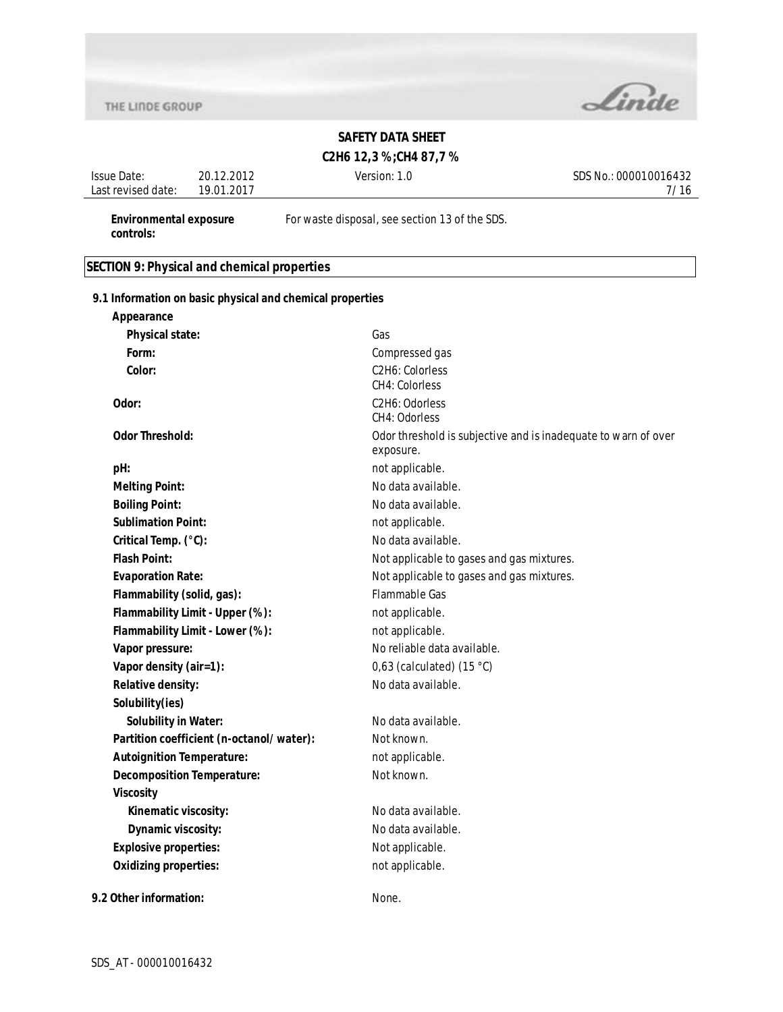

# **SAFETY DATA SHEET**

## **C2H6 12,3 %;CH4 87,7 %**

Issue Date: Last revised date: 19.01.2017 20.12.2012

Version: 1.0 SDS No.: 000010016432 7/16

**Environmental exposure controls:**

For waste disposal, see section 13 of the SDS.

## **SECTION 9: Physical and chemical properties**

**9.1 Information on basic physical and chemical properties**

| Appearance                               |                                                                             |
|------------------------------------------|-----------------------------------------------------------------------------|
| Physical state:                          | Gas                                                                         |
| Form:                                    | Compressed gas                                                              |
| Color:                                   | C2H6: Colorless<br><b>CH4: Colorless</b>                                    |
| Odor:                                    | C2H6: Odorless<br>CH4: Odorless                                             |
| <b>Odor Threshold:</b>                   | Odor threshold is subjective and is inadequate to warn of over<br>exposure. |
| pH:                                      | not applicable.                                                             |
| <b>Melting Point:</b>                    | No data available.                                                          |
| <b>Boiling Point:</b>                    | No data available.                                                          |
| <b>Sublimation Point:</b>                | not applicable.                                                             |
| Critical Temp. (°C):                     | No data available.                                                          |
| <b>Flash Point:</b>                      | Not applicable to gases and gas mixtures.                                   |
| <b>Evaporation Rate:</b>                 | Not applicable to gases and gas mixtures.                                   |
| Flammability (solid, gas):               | <b>Flammable Gas</b>                                                        |
| Flammability Limit - Upper (%):          | not applicable.                                                             |
| Flammability Limit - Lower (%):          | not applicable.                                                             |
| Vapor pressure:                          | No reliable data available.                                                 |
| Vapor density (air=1):                   | 0,63 (calculated) $(15 °C)$                                                 |
| Relative density:                        | No data available.                                                          |
| Solubility(ies)                          |                                                                             |
| <b>Solubility in Water:</b>              | No data available.                                                          |
| Partition coefficient (n-octanol/water): | Not known.                                                                  |
| <b>Autoignition Temperature:</b>         | not applicable.                                                             |
| <b>Decomposition Temperature:</b>        | Not known.                                                                  |
| <b>Viscosity</b>                         |                                                                             |
| Kinematic viscosity:                     | No data available.                                                          |
| Dynamic viscosity:                       | No data available.                                                          |
| <b>Explosive properties:</b>             | Not applicable.                                                             |
| <b>Oxidizing properties:</b>             | not applicable.                                                             |
| 9.2 Other information:                   | None.                                                                       |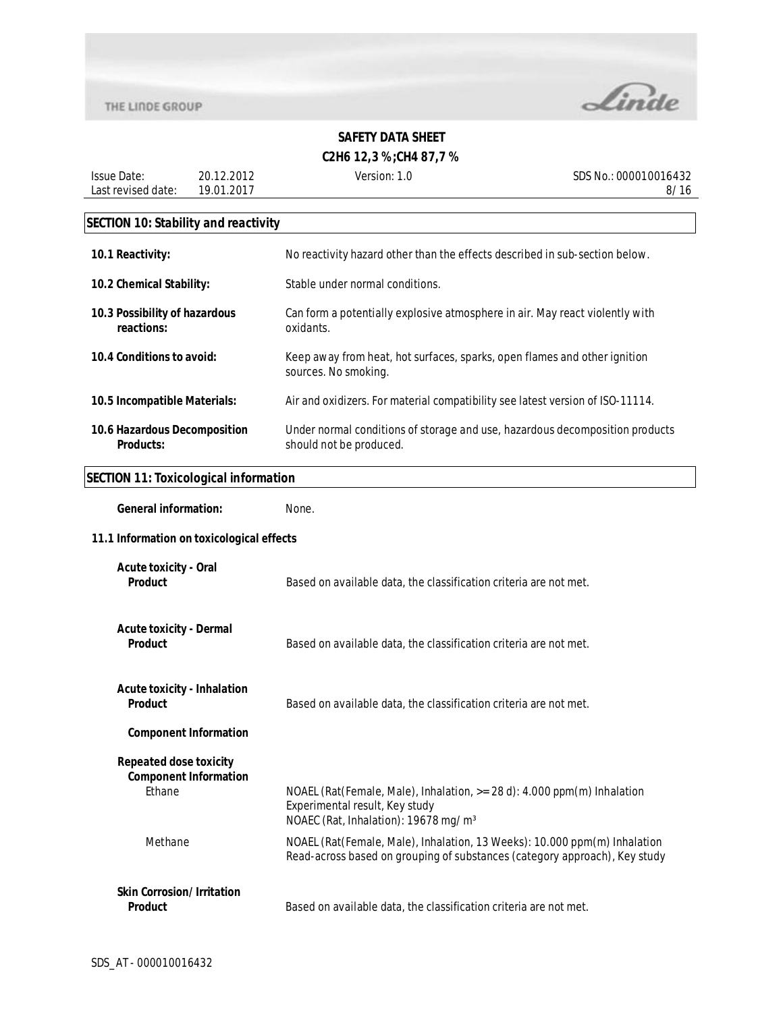

**C2H6 12,3 %;CH4 87,7 %**

Issue Date: Last revised date: 19.01.2017 20.12.2012

Version: 1.0 SDS No.: 000010016432 8/16

# **SECTION 10: Stability and reactivity**

| 10.1 Reactivity:                                 | No reactivity hazard other than the effects described in sub-section below.                             |
|--------------------------------------------------|---------------------------------------------------------------------------------------------------------|
| 10.2 Chemical Stability:                         | Stable under normal conditions.                                                                         |
| 10.3 Possibility of hazardous<br>reactions:      | Can form a potentially explosive atmosphere in air. May react violently with<br>oxidants.               |
| 10.4 Conditions to avoid:                        | Keep away from heat, hot surfaces, sparks, open flames and other ignition<br>sources. No smoking.       |
| 10.5 Incompatible Materials:                     | Air and oxidizers. For material compatibility see latest version of ISO-11114.                          |
| 10.6 Hazardous Decomposition<br><b>Products:</b> | Under normal conditions of storage and use, hazardous decomposition products<br>should not be produced. |

# **SECTION 11: Toxicological information**

| <b>General information:</b>                                   | None.                                                                                                                                                         |
|---------------------------------------------------------------|---------------------------------------------------------------------------------------------------------------------------------------------------------------|
| 11.1 Information on toxicological effects                     |                                                                                                                                                               |
| <b>Acute toxicity - Oral</b><br>Product                       | Based on available data, the classification criteria are not met.                                                                                             |
| <b>Acute toxicity - Dermal</b><br>Product                     | Based on available data, the classification criteria are not met.                                                                                             |
| <b>Acute toxicity - Inhalation</b><br><b>Product</b>          | Based on available data, the classification criteria are not met.                                                                                             |
| <b>Component Information</b>                                  |                                                                                                                                                               |
| <b>Repeated dose toxicity</b><br><b>Component Information</b> |                                                                                                                                                               |
| <b>Fthane</b>                                                 | NOAEL (Rat(Female, Male), Inhalation, >= 28 d): 4.000 ppm(m) Inhalation<br>Experimental result, Key study<br>NOAEC (Rat, Inhalation): 19678 mg/m <sup>3</sup> |
| Methane                                                       | NOAEL (Rat(Female, Male), Inhalation, 13 Weeks): 10.000 ppm(m) Inhalation<br>Read-across based on grouping of substances (category approach), Key study       |
| <b>Skin Corrosion/Irritation</b><br>Product                   | Based on available data, the classification criteria are not met.                                                                                             |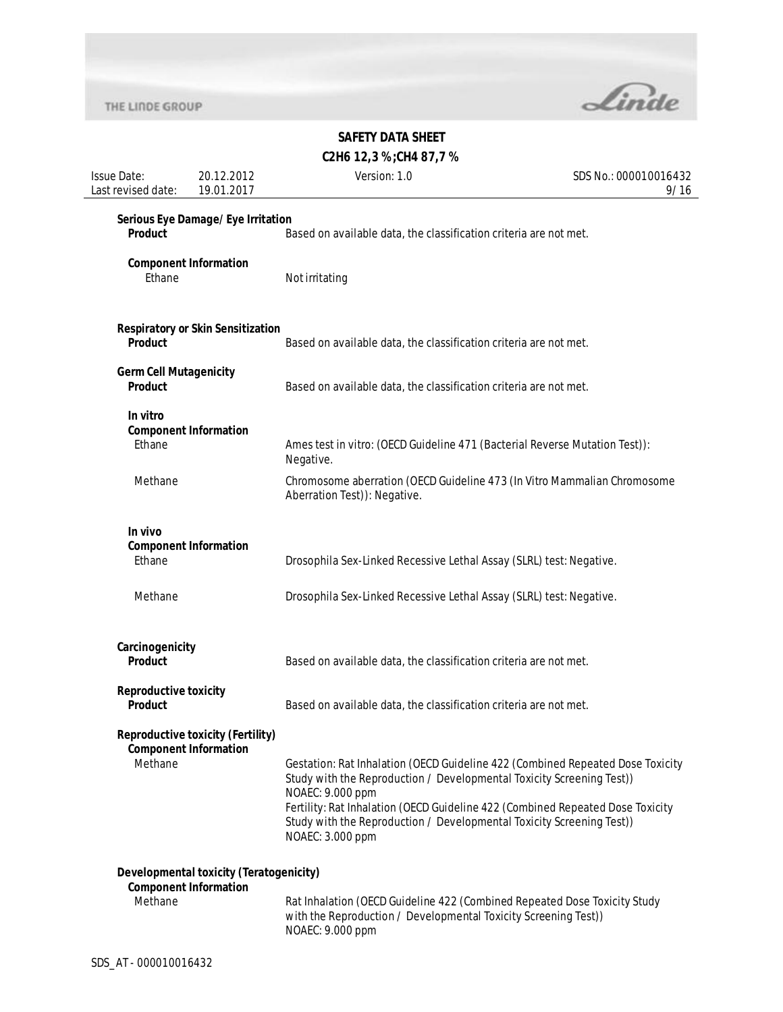

# **SAFETY DATA SHEET**

**C2H6 12,3 %;CH4 87,7 %**

| <b>Issue Date:</b><br>Last revised date:        | 20.12.2012<br>19.01.2017                                                       | Version: 1.0                                                                                                                                                                                                                                                                                                                                               | SDS No.: 000010016432<br>9/16 |
|-------------------------------------------------|--------------------------------------------------------------------------------|------------------------------------------------------------------------------------------------------------------------------------------------------------------------------------------------------------------------------------------------------------------------------------------------------------------------------------------------------------|-------------------------------|
| Product                                         | Serious Eye Damage/Eye Irritation                                              | Based on available data, the classification criteria are not met.                                                                                                                                                                                                                                                                                          |                               |
| Ethane                                          | <b>Component Information</b>                                                   | Not irritating                                                                                                                                                                                                                                                                                                                                             |                               |
| Product                                         | <b>Respiratory or Skin Sensitization</b>                                       | Based on available data, the classification criteria are not met.                                                                                                                                                                                                                                                                                          |                               |
| <b>Germ Cell Mutagenicity</b><br><b>Product</b> |                                                                                | Based on available data, the classification criteria are not met.                                                                                                                                                                                                                                                                                          |                               |
| In vitro<br>Ethane                              | <b>Component Information</b>                                                   | Ames test in vitro: (OECD Guideline 471 (Bacterial Reverse Mutation Test)):<br>Negative.                                                                                                                                                                                                                                                                   |                               |
| Methane                                         |                                                                                | Chromosome aberration (OECD Guideline 473 (In Vitro Mammalian Chromosome<br>Aberration Test)): Negative.                                                                                                                                                                                                                                                   |                               |
| In vivo<br>Ethane                               | <b>Component Information</b>                                                   | Drosophila Sex-Linked Recessive Lethal Assay (SLRL) test: Negative.                                                                                                                                                                                                                                                                                        |                               |
| Methane                                         |                                                                                | Drosophila Sex-Linked Recessive Lethal Assay (SLRL) test: Negative.                                                                                                                                                                                                                                                                                        |                               |
| Carcinogenicity<br><b>Product</b>               |                                                                                | Based on available data, the classification criteria are not met.                                                                                                                                                                                                                                                                                          |                               |
| <b>Reproductive toxicity</b><br>Product         |                                                                                | Based on available data, the classification criteria are not met.                                                                                                                                                                                                                                                                                          |                               |
| Methane                                         | <b>Reproductive toxicity (Fertility)</b><br><b>Component Information</b>       | Gestation: Rat Inhalation (OECD Guideline 422 (Combined Repeated Dose Toxicity<br>Study with the Reproduction / Developmental Toxicity Screening Test))<br>NOAEC: 9.000 ppm<br>Fertility: Rat Inhalation (OECD Guideline 422 (Combined Repeated Dose Toxicity<br>Study with the Reproduction / Developmental Toxicity Screening Test))<br>NOAEC: 3.000 ppm |                               |
| Methane                                         | <b>Developmental toxicity (Teratogenicity)</b><br><b>Component Information</b> | Rat Inhalation (OECD Guideline 422 (Combined Repeated Dose Toxicity Study<br>with the Reproduction / Developmental Toxicity Screening Test))<br>NOAEC: 9.000 ppm                                                                                                                                                                                           |                               |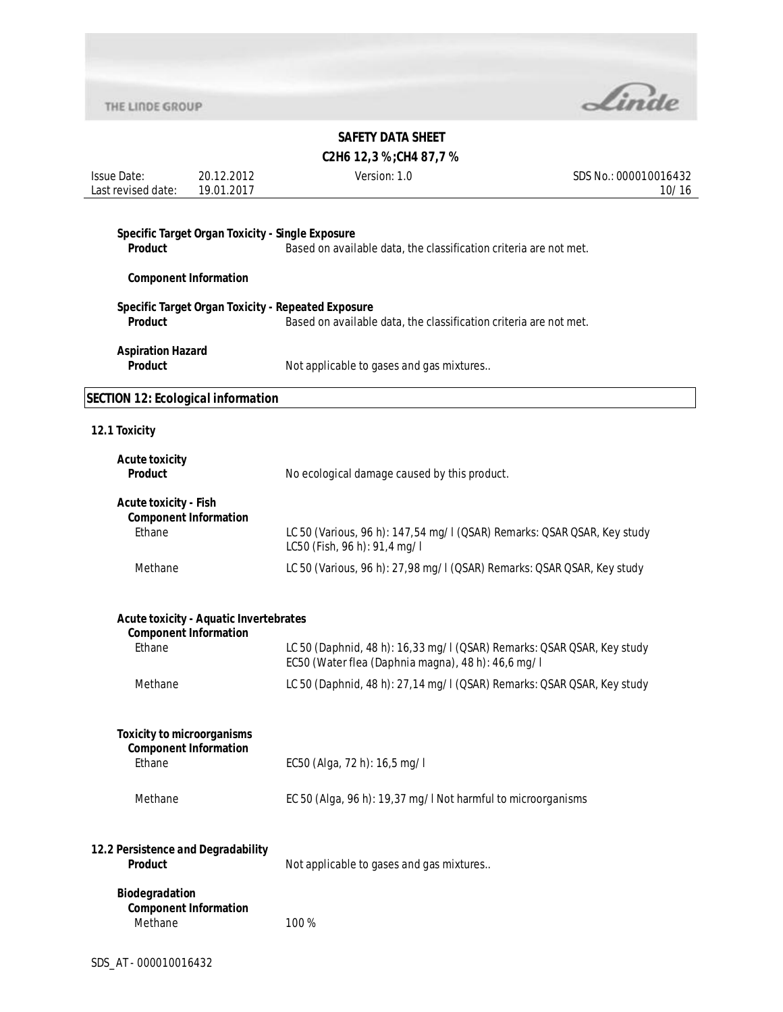

|  |  | C2H6 12,3%;CH4 87,7% |  |  |
|--|--|----------------------|--|--|
|--|--|----------------------|--|--|

| <b>Issue Date:</b>                        | 20.12.2012                                    | Version: 1.0                                                                                                                 | SDS No.: 000010016432 |
|-------------------------------------------|-----------------------------------------------|------------------------------------------------------------------------------------------------------------------------------|-----------------------|
| Last revised date:                        | 19.01.2017                                    |                                                                                                                              | 10/16                 |
|                                           |                                               |                                                                                                                              |                       |
| <b>Product</b>                            |                                               | Specific Target Organ Toxicity - Single Exposure<br>Based on available data, the classification criteria are not met.        |                       |
|                                           |                                               |                                                                                                                              |                       |
|                                           | <b>Component Information</b>                  |                                                                                                                              |                       |
|                                           |                                               | Specific Target Organ Toxicity - Repeated Exposure                                                                           |                       |
| <b>Product</b>                            |                                               | Based on available data, the classification criteria are not met.                                                            |                       |
| <b>Aspiration Hazard</b>                  |                                               |                                                                                                                              |                       |
| <b>Product</b>                            |                                               | Not applicable to gases and gas mixtures                                                                                     |                       |
|                                           |                                               |                                                                                                                              |                       |
| <b>SECTION 12: Ecological information</b> |                                               |                                                                                                                              |                       |
| 12.1 Toxicity                             |                                               |                                                                                                                              |                       |
| <b>Acute toxicity</b>                     |                                               |                                                                                                                              |                       |
| <b>Product</b>                            |                                               | No ecological damage caused by this product.                                                                                 |                       |
|                                           |                                               |                                                                                                                              |                       |
| <b>Acute toxicity - Fish</b>              | <b>Component Information</b>                  |                                                                                                                              |                       |
| Ethane                                    |                                               | LC 50 (Various, 96 h): 147,54 mg/l (QSAR) Remarks: QSAR QSAR, Key study                                                      |                       |
|                                           |                                               | LC50 (Fish, 96 h): 91,4 mg/l                                                                                                 |                       |
| Methane                                   |                                               | LC 50 (Various, 96 h): 27,98 mg/l (QSAR) Remarks: QSAR QSAR, Key study                                                       |                       |
|                                           |                                               |                                                                                                                              |                       |
|                                           | <b>Acute toxicity - Aquatic Invertebrates</b> |                                                                                                                              |                       |
|                                           | <b>Component Information</b>                  |                                                                                                                              |                       |
| Ethane                                    |                                               | LC 50 (Daphnid, 48 h): 16,33 mg/l (QSAR) Remarks: QSAR QSAR, Key study<br>EC50 (Water flea (Daphnia magna), 48 h): 46,6 mg/l |                       |
| Methane                                   |                                               | LC 50 (Daphnid, 48 h): 27, 14 mg/l (QSAR) Remarks: QSAR QSAR, Key study                                                      |                       |
|                                           |                                               |                                                                                                                              |                       |
|                                           |                                               |                                                                                                                              |                       |
| <b>Toxicity to microorganisms</b>         | <b>Component Information</b>                  |                                                                                                                              |                       |
| Ethane                                    |                                               | EC50 (Alga, 72 h): 16,5 mg/l                                                                                                 |                       |
|                                           |                                               |                                                                                                                              |                       |
| Methane                                   |                                               | EC 50 (Alga, 96 h): 19,37 mg/l Not harmful to microorganisms                                                                 |                       |
|                                           |                                               |                                                                                                                              |                       |
| 12.2 Persistence and Degradability        |                                               |                                                                                                                              |                       |
| <b>Product</b>                            |                                               | Not applicable to gases and gas mixtures                                                                                     |                       |
| Biodegradation                            |                                               |                                                                                                                              |                       |
|                                           | <b>Component Information</b>                  |                                                                                                                              |                       |
| Methane                                   |                                               | 100%                                                                                                                         |                       |
|                                           |                                               |                                                                                                                              |                       |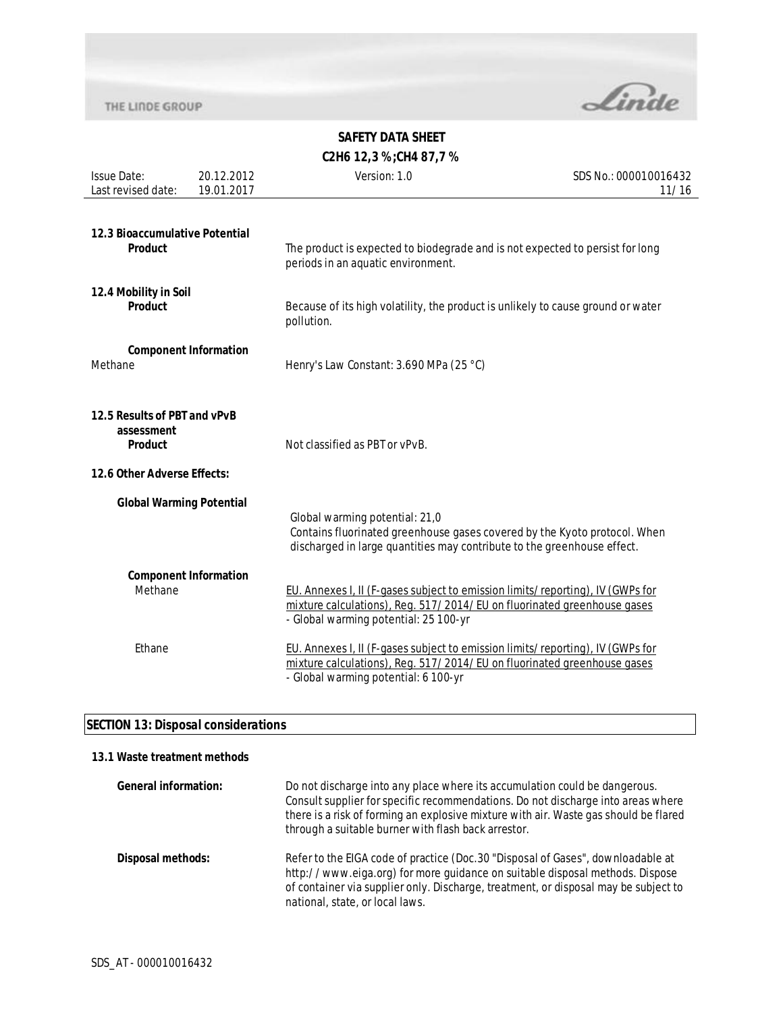

# **SAFETY DATA SHEET C2H6 12,3 %;CH4 87,7 %**

| <b>Issue Date:</b><br>Last revised date:                                                    | 20.12.2012<br>19.01.2017 | Version: 1.0                                                                                                                                                                                       | SDS No.: 000010016432<br>11/16 |
|---------------------------------------------------------------------------------------------|--------------------------|----------------------------------------------------------------------------------------------------------------------------------------------------------------------------------------------------|--------------------------------|
| 12.3 Bioaccumulative Potential<br>Product                                                   |                          | The product is expected to biodegrade and is not expected to persist for long<br>periods in an aquatic environment.                                                                                |                                |
| 12.4 Mobility in Soil<br>Product                                                            |                          | Because of its high volatility, the product is unlikely to cause ground or water<br>pollution.                                                                                                     |                                |
| <b>Component Information</b><br>Methane                                                     |                          | Henry's Law Constant: 3.690 MPa (25 °C)                                                                                                                                                            |                                |
| 12.5 Results of PBT and vPvB<br>assessment<br><b>Product</b><br>12.6 Other Adverse Effects: |                          | Not classified as PBT or vPvB.                                                                                                                                                                     |                                |
| <b>Global Warming Potential</b>                                                             |                          | Global warming potential: 21,0<br>Contains fluorinated greenhouse gases covered by the Kyoto protocol. When<br>discharged in large quantities may contribute to the greenhouse effect.             |                                |
| <b>Component Information</b><br>Methane                                                     |                          | EU. Annexes I, II (F-gases subject to emission limits/reporting), IV (GWPs for<br>mixture calculations), Reg. 517/2014/EU on fluorinated greenhouse gases<br>- Global warming potential: 25 100-yr |                                |
| Ethane                                                                                      |                          | EU. Annexes I, II (F-gases subject to emission limits/reporting), IV (GWPs for<br>mixture calculations), Reg. 517/2014/EU on fluorinated greenhouse gases<br>- Global warming potential: 6 100-yr  |                                |

# **SECTION 13: Disposal considerations**

## **13.1 Waste treatment methods**

| <b>General information:</b> | Do not discharge into any place where its accumulation could be dangerous.<br>Consult supplier for specific recommendations. Do not discharge into areas where<br>there is a risk of forming an explosive mixture with air. Waste gas should be flared<br>through a suitable burner with flash back arrestor. |
|-----------------------------|---------------------------------------------------------------------------------------------------------------------------------------------------------------------------------------------------------------------------------------------------------------------------------------------------------------|
| Disposal methods:           | Refer to the EIGA code of practice (Doc. 30 "Disposal of Gases", downloadable at<br>http://www.eiga.org) for more guidance on suitable disposal methods. Dispose<br>of container via supplier only. Discharge, treatment, or disposal may be subject to<br>national, state, or local laws.                    |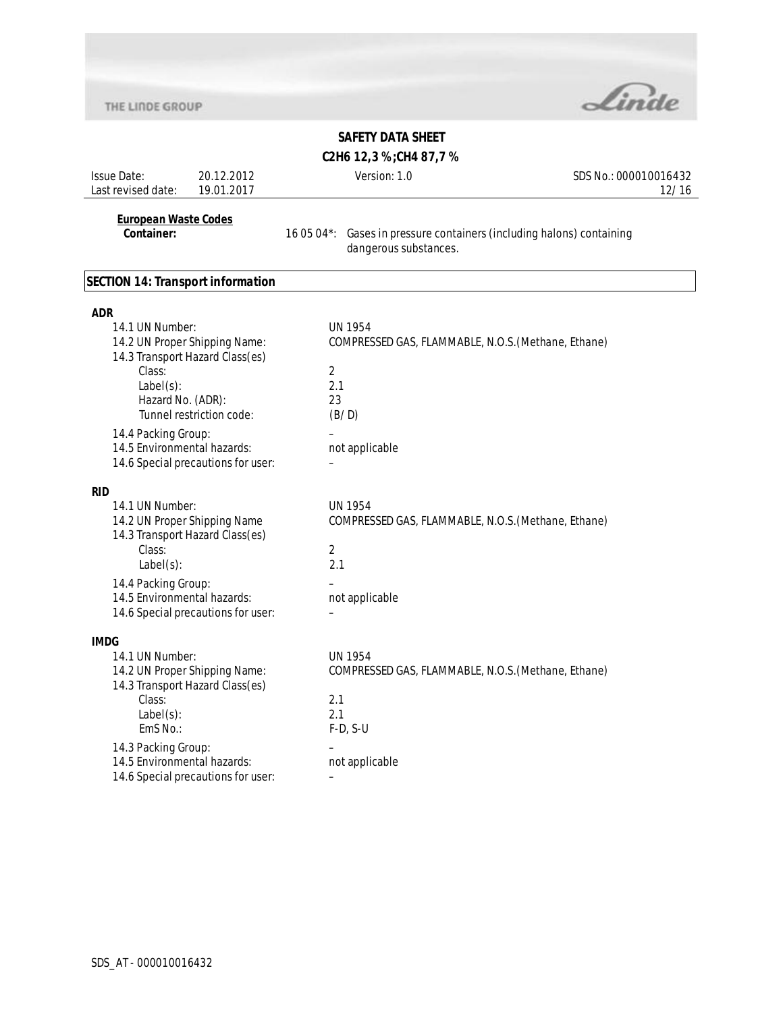

# **SAFETY DATA SHEET**

**C2H6 12,3 %;CH4 87,7 %**

| <b>Issue Date:</b><br>Last revised date:                                                                                           | 20.12.2012<br>19.01.2017                                                                     | Version: 1.0                                                                                                                    | SDS No.: 000010016432<br>12/16 |
|------------------------------------------------------------------------------------------------------------------------------------|----------------------------------------------------------------------------------------------|---------------------------------------------------------------------------------------------------------------------------------|--------------------------------|
| <b>European Waste Codes</b><br>Container:                                                                                          |                                                                                              | 16 05 04*: Gases in pressure containers (including halons) containing<br>dangerous substances.                                  |                                |
| <b>SECTION 14: Transport information</b>                                                                                           |                                                                                              |                                                                                                                                 |                                |
| <b>ADR</b><br>14.1 UN Number:<br>Class:<br>$Label(s)$ :<br>Hazard No. (ADR):<br>14.4 Packing Group:<br>14.5 Environmental hazards: | 14.2 UN Proper Shipping Name:<br>14.3 Transport Hazard Class(es)<br>Tunnel restriction code: | <b>UN 1954</b><br>COMPRESSED GAS, FLAMMABLE, N.O.S. (Methane, Ethane)<br>$\overline{2}$<br>2.1<br>23<br>(B/D)<br>not applicable |                                |
|                                                                                                                                    | 14.6 Special precautions for user:                                                           |                                                                                                                                 |                                |
| <b>RID</b><br>14.1 UN Number:<br>Class:<br>$Label(s)$ :<br>14.4 Packing Group:                                                     | 14.2 UN Proper Shipping Name<br>14.3 Transport Hazard Class(es)                              | <b>UN 1954</b><br>COMPRESSED GAS, FLAMMABLE, N.O.S. (Methane, Ethane)<br>$\overline{2}$<br>2.1                                  |                                |
| 14.5 Environmental hazards:                                                                                                        | 14.6 Special precautions for user:                                                           | not applicable                                                                                                                  |                                |
| <b>IMDG</b><br>14.1 UN Number:<br>Class:<br>$Label(s)$ :<br>$EmS$ No.:                                                             | 14.2 UN Proper Shipping Name:<br>14.3 Transport Hazard Class(es)                             | <b>UN 1954</b><br>COMPRESSED GAS, FLAMMABLE, N.O.S. (Methane, Ethane)<br>2.1<br>2.1<br>$F-D, S-U$                               |                                |
| 14.3 Packing Group:<br>14.5 Environmental hazards:                                                                                 | 14.6 Special precautions for user:                                                           | not applicable                                                                                                                  |                                |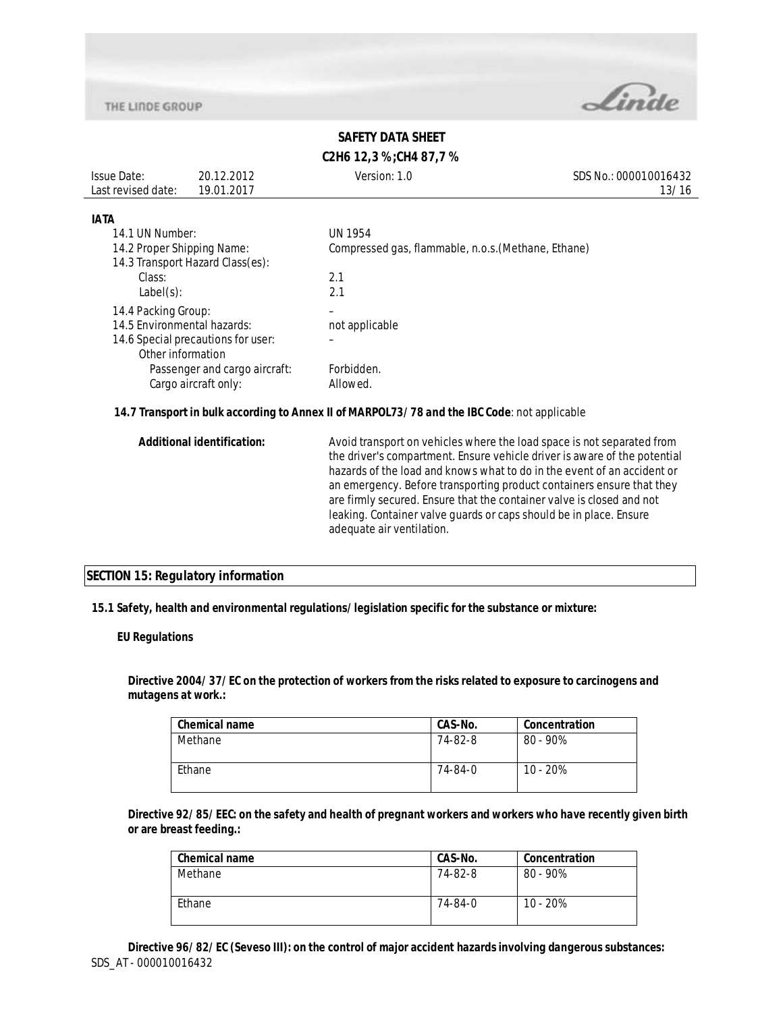

# **SAFETY DATA SHEET C2H6 12,3 %;CH4 87,7 %**

| <b>Issue Date:</b> | 20.12.2012 | Version: 1.0 | SDS No.: 000010016432 |
|--------------------|------------|--------------|-----------------------|
| Last revised date: | 19.01.2017 |              | 13/16                 |
|                    |            |              |                       |

### **IATA**

| 14.1 UN Number:                    | UN 1954                                             |
|------------------------------------|-----------------------------------------------------|
| 14.2 Proper Shipping Name:         | Compressed gas, flammable, n.o.s. (Methane, Ethane) |
| 14.3 Transport Hazard Class(es):   |                                                     |
| Class:                             | 2.1                                                 |
| $Label(s)$ :                       | 2.1                                                 |
| 14.4 Packing Group:                |                                                     |
| 14.5 Environmental hazards:        | not applicable                                      |
| 14.6 Special precautions for user: |                                                     |
| Other information                  |                                                     |
| Passenger and cargo aircraft:      | Forbidden.                                          |
| Cargo aircraft only:               | Allowed.                                            |

## **14.7 Transport in bulk according to Annex II of MARPOL73/78 and the IBC Code**: not applicable

| <b>Additional identification:</b> | Avoid transport on vehicles where the load space is not separated from<br>the driver's compartment. Ensure vehicle driver is aware of the potential<br>hazards of the load and knows what to do in the event of an accident or<br>an emergency. Before transporting product containers ensure that they<br>are firmly secured. Ensure that the container valve is closed and not<br>leaking. Container valve guards or caps should be in place. Ensure<br>adequate air ventilation. |
|-----------------------------------|-------------------------------------------------------------------------------------------------------------------------------------------------------------------------------------------------------------------------------------------------------------------------------------------------------------------------------------------------------------------------------------------------------------------------------------------------------------------------------------|
|                                   |                                                                                                                                                                                                                                                                                                                                                                                                                                                                                     |

## **SECTION 15: Regulatory information**

**15.1 Safety, health and environmental regulations/legislation specific for the substance or mixture:**

### **EU Regulations**

**Directive 2004/37/EC on the protection of workers from the risks related to exposure to carcinogens and mutagens at work.:** 

| <b>Chemical name</b> | CAS-No. | Concentration |
|----------------------|---------|---------------|
| Methane              | 74-82-8 | $80 - 90\%$   |
| Ethane               | 74-84-0 | $10 - 20%$    |

**Directive 92/85/EEC: on the safety and health of pregnant workers and workers who have recently given birth or are breast feeding.:** 

| <b>Chemical name</b> | CAS-No. | Concentration |
|----------------------|---------|---------------|
| Methane              | 74-82-8 | $80 - 90\%$   |
| Ethane               | 74-84-0 | $10 - 20%$    |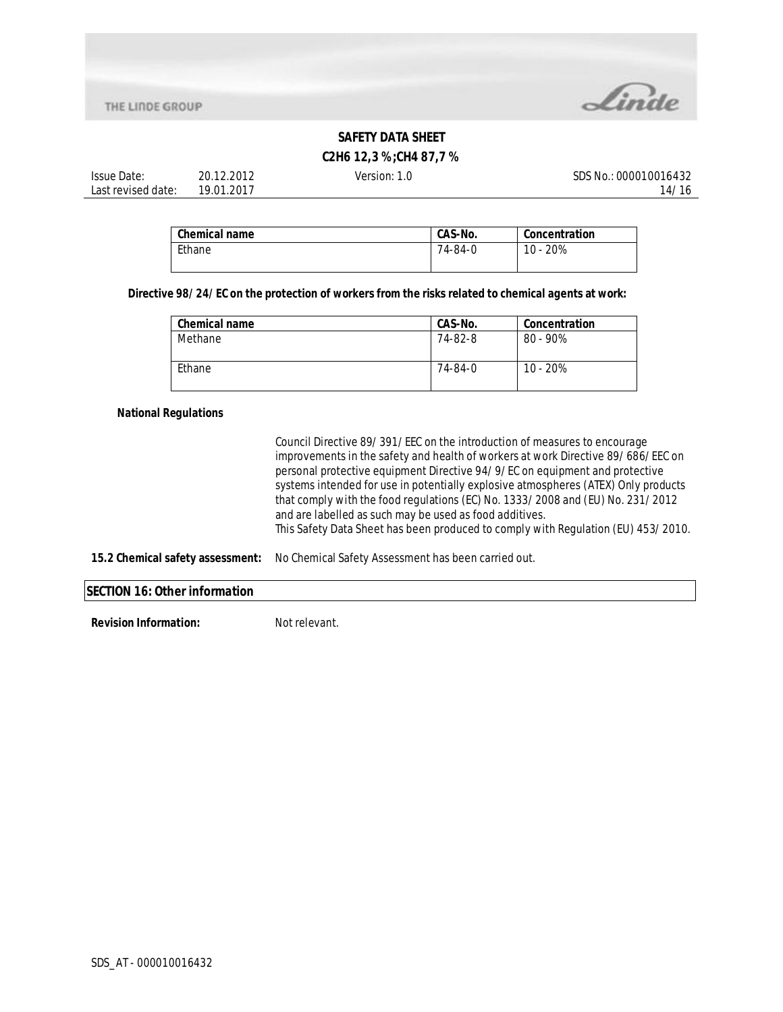

# **C2H6 12,3 %;CH4 87,7 %**

| Issue Date:        | ∠ 201≏<br>20.<br>$\sim$ | Version:<br>ن ا | SDS Ni<br>000010016432<br>'NO. |
|--------------------|-------------------------|-----------------|--------------------------------|
| Last revised date: | 1.2017<br>19 N1         |                 | ۱47                            |

| l Chemical name | CAS-No. | Concentration |
|-----------------|---------|---------------|
| Ethane          | 74-84-0 | 10 - 20%      |

## **Directive 98/24/EC on the protection of workers from the risks related to chemical agents at work:**

| <b>Chemical name</b> | CAS-No. | Concentration |
|----------------------|---------|---------------|
| Methane              | 74-82-8 | $80 - 90\%$   |
| Ethane               | 74-84-0 | $10 - 20%$    |

## **National Regulations**

Council Directive 89/391/EEC on the introduction of measures to encourage improvements in the safety and health of workers at work Directive 89/686/EEC on personal protective equipment Directive 94/9/EC on equipment and protective systems intended for use in potentially explosive atmospheres (ATEX) Only products that comply with the food regulations (EC) No. 1333/2008 and (EU) No. 231/2012 and are labelled as such may be used as food additives. This Safety Data Sheet has been produced to comply with Regulation (EU) 453/2010.

## **15.2 Chemical safety assessment:** No Chemical Safety Assessment has been carried out.

#### **SECTION 16: Other information**

**Revision Information:** Not relevant.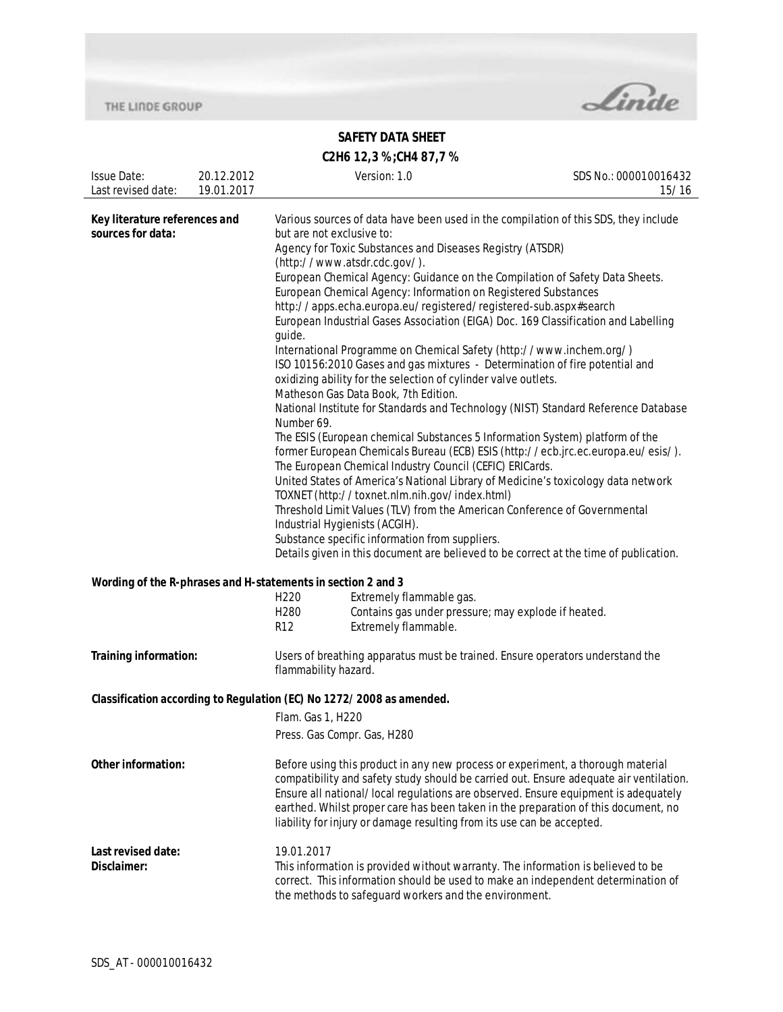

# **SAFETY DATA SHEET**

| C2H6 12,3 %; CH4 87,7 % |  |
|-------------------------|--|

| <b>Issue Date:</b><br>Last revised date:                                                  | 20.12.2012<br>19.01.2017                                                                                                                                                                                                           | Version: 1.0                                                                                                                                                                                                                                                                                                                                                                                                                                                                                                                                                                                                                                                                                                                                                                                                                                                                                                                                                                                                                                                                                                                                                                                                                                                                                                                                                                                                                                                                                                                            | SDS No.: 000010016432<br>15/16 |
|-------------------------------------------------------------------------------------------|------------------------------------------------------------------------------------------------------------------------------------------------------------------------------------------------------------------------------------|-----------------------------------------------------------------------------------------------------------------------------------------------------------------------------------------------------------------------------------------------------------------------------------------------------------------------------------------------------------------------------------------------------------------------------------------------------------------------------------------------------------------------------------------------------------------------------------------------------------------------------------------------------------------------------------------------------------------------------------------------------------------------------------------------------------------------------------------------------------------------------------------------------------------------------------------------------------------------------------------------------------------------------------------------------------------------------------------------------------------------------------------------------------------------------------------------------------------------------------------------------------------------------------------------------------------------------------------------------------------------------------------------------------------------------------------------------------------------------------------------------------------------------------------|--------------------------------|
| Key literature references and<br>sources for data:                                        |                                                                                                                                                                                                                                    | Various sources of data have been used in the compilation of this SDS, they include<br>but are not exclusive to:<br>Agency for Toxic Substances and Diseases Registry (ATSDR)<br>(http://www.atsdr.cdc.gov/).<br>European Chemical Agency: Guidance on the Compilation of Safety Data Sheets.<br>European Chemical Agency: Information on Registered Substances<br>http://apps.echa.europa.eu/registered/registered-sub.aspx#search<br>European Industrial Gases Association (EIGA) Doc. 169 Classification and Labelling<br>guide.<br>International Programme on Chemical Safety (http://www.inchem.org/)<br>ISO 10156:2010 Gases and gas mixtures - Determination of fire potential and<br>oxidizing ability for the selection of cylinder valve outlets.<br>Matheson Gas Data Book, 7th Edition.<br>National Institute for Standards and Technology (NIST) Standard Reference Database<br>Number 69.<br>The ESIS (European chemical Substances 5 Information System) platform of the<br>former European Chemicals Bureau (ECB) ESIS (http://ecb.jrc.ec.europa.eu/esis/).<br>The European Chemical Industry Council (CEFIC) ERICards.<br>United States of America's National Library of Medicine's toxicology data network<br>TOXNET (http://toxnet.nlm.nih.gov/index.html)<br>Threshold Limit Values (TLV) from the American Conference of Governmental<br>Industrial Hygienists (ACGIH).<br>Substance specific information from suppliers.<br>Details given in this document are believed to be correct at the time of publication. |                                |
|                                                                                           | Wording of the R-phrases and H-statements in section 2 and 3<br>Extremely flammable gas.<br>H <sub>220</sub><br>Contains gas under pressure; may explode if heated.<br>H <sub>280</sub><br>Extremely flammable.<br>R <sub>12</sub> |                                                                                                                                                                                                                                                                                                                                                                                                                                                                                                                                                                                                                                                                                                                                                                                                                                                                                                                                                                                                                                                                                                                                                                                                                                                                                                                                                                                                                                                                                                                                         |                                |
| Training information:                                                                     |                                                                                                                                                                                                                                    | Users of breathing apparatus must be trained. Ensure operators understand the<br>flammability hazard.                                                                                                                                                                                                                                                                                                                                                                                                                                                                                                                                                                                                                                                                                                                                                                                                                                                                                                                                                                                                                                                                                                                                                                                                                                                                                                                                                                                                                                   |                                |
| Classification according to Regulation (EC) No 1272/2008 as amended.<br>Flam. Gas 1, H220 |                                                                                                                                                                                                                                    |                                                                                                                                                                                                                                                                                                                                                                                                                                                                                                                                                                                                                                                                                                                                                                                                                                                                                                                                                                                                                                                                                                                                                                                                                                                                                                                                                                                                                                                                                                                                         |                                |
|                                                                                           |                                                                                                                                                                                                                                    | Press. Gas Compr. Gas, H280                                                                                                                                                                                                                                                                                                                                                                                                                                                                                                                                                                                                                                                                                                                                                                                                                                                                                                                                                                                                                                                                                                                                                                                                                                                                                                                                                                                                                                                                                                             |                                |
| Other information:                                                                        |                                                                                                                                                                                                                                    | Before using this product in any new process or experiment, a thorough material<br>compatibility and safety study should be carried out. Ensure adequate air ventilation.<br>Ensure all national/local regulations are observed. Ensure equipment is adequately<br>earthed. Whilst proper care has been taken in the preparation of this document, no<br>liability for injury or damage resulting from its use can be accepted.                                                                                                                                                                                                                                                                                                                                                                                                                                                                                                                                                                                                                                                                                                                                                                                                                                                                                                                                                                                                                                                                                                         |                                |
| Last revised date:<br>Disclaimer:                                                         |                                                                                                                                                                                                                                    | 19.01.2017<br>This information is provided without warranty. The information is believed to be<br>correct. This information should be used to make an independent determination of<br>the methods to safeguard workers and the environment.                                                                                                                                                                                                                                                                                                                                                                                                                                                                                                                                                                                                                                                                                                                                                                                                                                                                                                                                                                                                                                                                                                                                                                                                                                                                                             |                                |